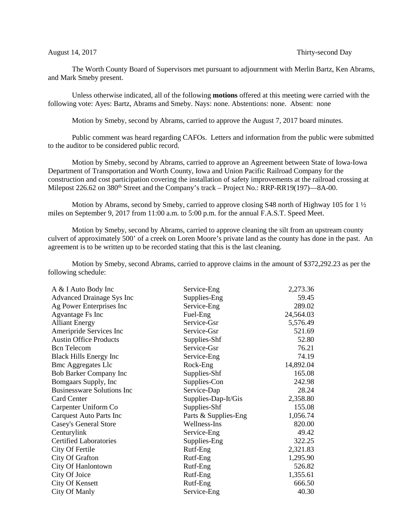## August 14, 2017 **Thirty-second Day**

The Worth County Board of Supervisors met pursuant to adjournment with Merlin Bartz, Ken Abrams, and Mark Smeby present.

Unless otherwise indicated, all of the following **motions** offered at this meeting were carried with the following vote: Ayes: Bartz, Abrams and Smeby. Nays: none. Abstentions: none. Absent: none

Motion by Smeby, second by Abrams, carried to approve the August 7, 2017 board minutes.

Public comment was heard regarding CAFOs. Letters and information from the public were submitted to the auditor to be considered public record.

Motion by Smeby, second by Abrams, carried to approve an Agreement between State of Iowa-Iowa Department of Transportation and Worth County, Iowa and Union Pacific Railroad Company for the construction and cost participation covering the installation of safety improvements at the railroad crossing at Milepost 226.62 on 380<sup>th</sup> Street and the Company's track – Project No.: RRP-RR19(197)—8A-00.

Motion by Abrams, second by Smeby, carried to approve closing S48 north of Highway 105 for 1 ½ miles on September 9, 2017 from 11:00 a.m. to 5:00 p.m. for the annual F.A.S.T. Speed Meet.

Motion by Smeby, second by Abrams, carried to approve cleaning the silt from an upstream county culvert of approximately 500' of a creek on Loren Moore's private land as the county has done in the past. An agreement is to be written up to be recorded stating that this is the last cleaning.

Motion by Smeby, second Abrams, carried to approve claims in the amount of \$372,292.23 as per the following schedule:

| A & I Auto Body Inc               | Service-Eng          | 2,273.36  |
|-----------------------------------|----------------------|-----------|
| <b>Advanced Drainage Sys Inc</b>  | Supplies-Eng         | 59.45     |
| Ag Power Enterprises Inc          | Service-Eng          | 289.02    |
| Agvantage Fs Inc                  | Fuel-Eng             | 24,564.03 |
| <b>Alliant Energy</b>             | Service-Gsr          | 5,576.49  |
| Ameripride Services Inc           | Service-Gsr          | 521.69    |
| <b>Austin Office Products</b>     | Supplies-Shf         | 52.80     |
| <b>Bcn</b> Telecom                | Service-Gsr          | 76.21     |
| <b>Black Hills Energy Inc</b>     | Service-Eng          | 74.19     |
| <b>Bmc Aggregates Llc</b>         | Rock-Eng             | 14,892.04 |
| Bob Barker Company Inc            | Supplies-Shf         | 165.08    |
| Bomgaars Supply, Inc.             | Supplies-Con         | 242.98    |
| <b>Businessware Solutions Inc</b> | Service-Dap          | 28.24     |
| <b>Card Center</b>                | Supplies-Dap-It/Gis  | 2,358.80  |
| Carpenter Uniform Co              | Supplies-Shf         | 155.08    |
| Carquest Auto Parts Inc           | Parts & Supplies-Eng | 1,056.74  |
| <b>Casey's General Store</b>      | Wellness-Ins         | 820.00    |
| Centurylink                       | Service-Eng          | 49.42     |
| <b>Certified Laboratories</b>     | Supplies-Eng         | 322.25    |
| City Of Fertile                   | Rutf-Eng             | 2,321.83  |
| City Of Grafton                   | Rutf-Eng             | 1,295.90  |
| City Of Hanlontown                | Rutf-Eng             | 526.82    |
| City Of Joice                     | Rutf-Eng             | 1,355.61  |
| <b>City Of Kensett</b>            | Rutf-Eng             | 666.50    |
| City Of Manly                     | Service-Eng          | 40.30     |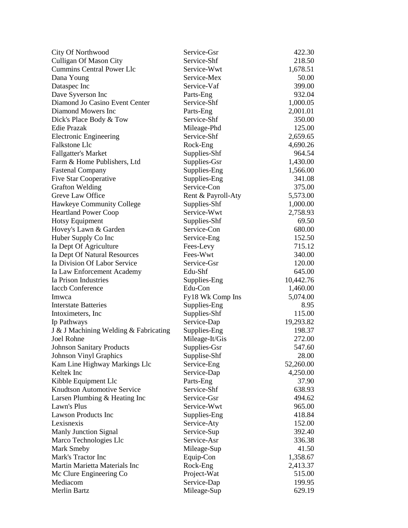| City Of Northwood                     | Service-Gsr        | 422.30    |
|---------------------------------------|--------------------|-----------|
| <b>Culligan Of Mason City</b>         | Service-Shf        | 218.50    |
| <b>Cummins Central Power Llc</b>      | Service-Wwt        | 1,678.51  |
| Dana Young                            | Service-Mex        | 50.00     |
| Dataspec Inc                          | Service-Vaf        | 399.00    |
| Dave Syverson Inc                     | Parts-Eng          | 932.04    |
| Diamond Jo Casino Event Center        | Service-Shf        | 1,000.05  |
| Diamond Mowers Inc                    | Parts-Eng          | 2,001.01  |
| Dick's Place Body & Tow               | Service-Shf        | 350.00    |
| Edie Prazak                           | Mileage-Phd        | 125.00    |
| <b>Electronic Engineering</b>         | Service-Shf        | 2,659.65  |
| Falkstone Llc                         | Rock-Eng           | 4,690.26  |
| <b>Fallgatter's Market</b>            | Supplies-Shf       | 964.54    |
| Farm & Home Publishers, Ltd           | Supplies-Gsr       | 1,430.00  |
| <b>Fastenal Company</b>               | Supplies-Eng       | 1,566.00  |
| <b>Five Star Cooperative</b>          | Supplies-Eng       | 341.08    |
| <b>Grafton Welding</b>                | Service-Con        | 375.00    |
| Greve Law Office                      | Rent & Payroll-Aty | 5,573.00  |
| Hawkeye Community College             | Supplies-Shf       | 1,000.00  |
| <b>Heartland Power Coop</b>           | Service-Wwt        | 2,758.93  |
| <b>Hotsy Equipment</b>                | Supplies-Shf       | 69.50     |
| Hovey's Lawn & Garden                 | Service-Con        | 680.00    |
| Huber Supply Co Inc                   | Service-Eng        | 152.50    |
| Ia Dept Of Agriculture                | Fees-Levy          | 715.12    |
| Ia Dept Of Natural Resources          | Fees-Wwt           | 340.00    |
| Ia Division Of Labor Service          | Service-Gsr        | 120.00    |
| Ia Law Enforcement Academy            | Edu-Shf            | 645.00    |
| Ia Prison Industries                  | Supplies-Eng       | 10,442.76 |
| <b>Iaccb Conference</b>               | Edu-Con            | 1,460.00  |
| Imwca                                 | Fy18 Wk Comp Ins   | 5,074.00  |
| <b>Interstate Batteries</b>           | Supplies-Eng       | 8.95      |
| Intoximeters, Inc.                    | Supplies-Shf       | 115.00    |
| Ip Pathways                           | Service-Dap        | 19,293.82 |
| J & J Machining Welding & Fabricating | Supplies-Eng       | 198.37    |
| Joel Rohne                            | Mileage-It/Gis     | 272.00    |
| <b>Johnson Sanitary Products</b>      | Supplies-Gsr       | 547.60    |
| <b>Johnson Vinyl Graphics</b>         | Supplise-Shf       | 28.00     |
| Kam Line Highway Markings Llc         | Service-Eng        | 52,260.00 |
| Keltek Inc                            | Service-Dap        | 4,250.00  |
| Kibble Equipment Llc                  | Parts-Eng          | 37.90     |
| <b>Knudtson Automotive Service</b>    | Service-Shf        | 638.93    |
| Larsen Plumbing & Heating Inc         | Service-Gsr        | 494.62    |
| Lawn's Plus                           | Service-Wwt        | 965.00    |
| <b>Lawson Products Inc</b>            | Supplies-Eng       | 418.84    |
| Lexisnexis                            | Service-Aty        | 152.00    |
| <b>Manly Junction Signal</b>          | Service-Sup        | 392.40    |
| Marco Technologies Llc                | Service-Asr        | 336.38    |
| Mark Smeby                            | Mileage-Sup        | 41.50     |
| Mark's Tractor Inc                    | Equip-Con          | 1,358.67  |
| Martin Marietta Materials Inc         | Rock-Eng           | 2,413.37  |
| Mc Clure Engineering Co               | Project-Wat        | 515.00    |
| Mediacom                              | Service-Dap        | 199.95    |
| Merlin Bartz                          | Mileage-Sup        | 629.19    |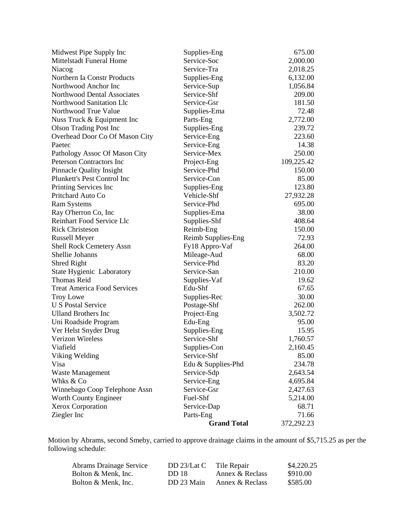| Midwest Pipe Supply Inc            | Supplies-Eng       | 675.00     |
|------------------------------------|--------------------|------------|
| <b>Mittelstadt Funeral Home</b>    | Service-Soc        | 2,000.00   |
| Niacog                             | Service-Tra        | 2,018.25   |
| Northern Ia Constr Products        | Supplies-Eng       | 6,132.00   |
| Northwood Anchor Inc               | Service-Sup        | 1,056.84   |
| Northwood Dental Associates        | Service-Shf        | 209.00     |
| Northwood Sanitation Llc           | Service-Gsr        | 181.50     |
| Northwood True Value               | Supplies-Ema       | 72.48      |
| Nuss Truck & Equipment Inc         | Parts-Eng          | 2,772.00   |
| <b>Olson Trading Post Inc</b>      | Supplies-Eng       | 239.72     |
| Overhead Door Co Of Mason City     | Service-Eng        | 223.60     |
| Paetec                             | Service-Eng        | 14.38      |
| Pathology Assoc Of Mason City      | Service-Mex        | 250.00     |
| <b>Peterson Contractors Inc</b>    | Project-Eng        | 109,225.42 |
| <b>Pinnacle Quality Insight</b>    | Service-Phd        | 150.00     |
| Plunkett's Pest Control Inc        | Service-Con        | 85.00      |
| Printing Services Inc              | Supplies-Eng       | 123.80     |
| Pritchard Auto Co                  | Vehicle-Shf        | 27,932.28  |
| <b>Ram Systems</b>                 | Service-Phd        | 695.00     |
| Ray O'herron Co, Inc               | Supplies-Ema       | 38.00      |
| Reinhart Food Service Llc          | Supplies-Shf       | 408.64     |
| <b>Rick Christeson</b>             | Reimb-Eng          | 150.00     |
| <b>Russell Meyer</b>               | Reimb Supplies-Eng | 72.93      |
| <b>Shell Rock Cemetery Assn</b>    | Fy18 Appro-Vaf     | 264.00     |
| Shellie Johanns                    | Mileage-Aud        | 68.00      |
| Shred Right                        | Service-Phd        | 83.20      |
| State Hygienic Laboratory          | Service-San        | 210.00     |
| <b>Thomas Reid</b>                 | Supplies-Vaf       | 19.62      |
| <b>Treat America Food Services</b> | Edu-Shf            | 67.65      |
| <b>Troy Lowe</b>                   | Supplies-Rec       | 30.00      |
| <b>U S Postal Service</b>          | Postage-Shf        | 262.00     |
| <b>Ulland Brothers Inc</b>         | Project-Eng        | 3,502.72   |
| Uni Roadside Program               | Edu-Eng            | 95.00      |
| Ver Helst Snyder Drug              | Supplies-Eng       | 15.95      |
| <b>Verizon Wireless</b>            | Service-Shf        | 1,760.57   |
| Viafield                           | Supplies-Con       | 2,160.45   |
| Viking Welding                     | Service-Shf        | 85.00      |
| Visa                               | Edu & Supplies-Phd | 234.78     |
| <b>Waste Management</b>            | Service-Sdp        | 2,643.54   |
| Whks & Co                          | Service-Eng        | 4,695.84   |
| Winnebago Coop Telephone Assn      | Service-Gsr        | 2,427.63   |
| Worth County Engineer              | Fuel-Shf           | 5,214.00   |
| <b>Xerox Corporation</b>           | Service-Dap        | 68.71      |
| Ziegler Inc                        | Parts-Eng          | 71.66      |
|                                    | <b>Grand Total</b> | 372,292.23 |

Motion by Abrams, second Smeby, carried to approve drainage claims in the amount of \$5,715.25 as per the following schedule:

| <b>Abrams Drainage Service</b> | DD $23/Lat C$ | Tile Repair     | \$4,220.25 |
|--------------------------------|---------------|-----------------|------------|
| Bolton & Menk. Inc.            | DD 18         | Annex & Reclass | \$910.00   |
| Bolton & Menk. Inc.            | DD 23 Main    | Annex & Reclass | \$585.00   |